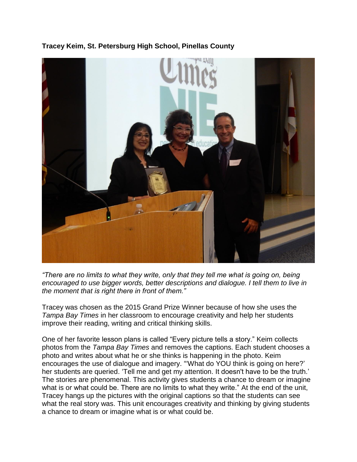### **Tracey Keim, St. Petersburg High School, Pinellas County**



*"There are no limits to what they write, only that they tell me what is going on, being encouraged to use bigger words, better descriptions and dialogue. I tell them to live in the moment that is right there in front of them."*

Tracey was chosen as the 2015 Grand Prize Winner because of how she uses the *Tampa Bay Times* in her classroom to encourage creativity and help her students improve their reading, writing and critical thinking skills.

One of her favorite lesson plans is called "Every picture tells a story." Keim collects photos from the *Tampa Bay Times* and removes the captions. Each student chooses a photo and writes about what he or she thinks is happening in the photo. Keim encourages the use of dialogue and imagery. "What do YOU think is going on here?' her students are queried. 'Tell me and get my attention. It doesn't have to be the truth.' The stories are phenomenal. This activity gives students a chance to dream or imagine what is or what could be. There are no limits to what they write." At the end of the unit, Tracey hangs up the pictures with the original captions so that the students can see what the real story was. This unit encourages creativity and thinking by giving students a chance to dream or imagine what is or what could be.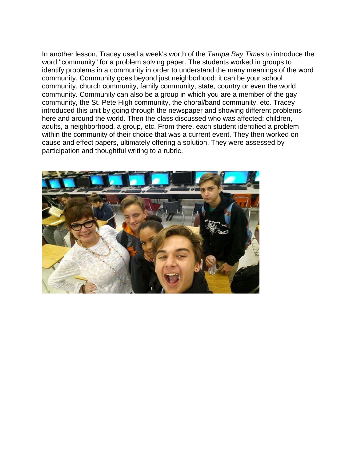In another lesson, Tracey used a week's worth of the *Tampa Bay Times* to introduce the word "community" for a problem solving paper. The students worked in groups to identify problems in a community in order to understand the many meanings of the word community. Community goes beyond just neighborhood: it can be your school community, church community, family community, state, country or even the world community. Community can also be a group in which you are a member of the gay community, the St. Pete High community, the choral/band community, etc. Tracey introduced this unit by going through the newspaper and showing different problems here and around the world. Then the class discussed who was affected: children, adults, a neighborhood, a group, etc. From there, each student identified a problem within the community of their choice that was a current event. They then worked on cause and effect papers, ultimately offering a solution. They were assessed by participation and thoughtful writing to a rubric.

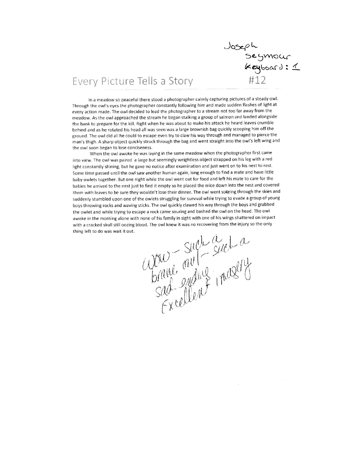Joseph<br>Seymour<br>Keyboard: 1

## Every Picture Tells a Story

In a meadow so peaceful there stood a photographer calmly capturing pictures of a steady owl. Through the owl's eyes the photographer constantly following him and made sudden flashes of light at every action made. The owl decided to lead the photographer to a stream not too far away from the meadow. As the owl approached the stream he began stalking a group of salmon and landed alongside the bank to prepare for the kill. Right when he was about to make his attack he heard leaves crumble behind and as he rotated his head all was seen was a large brownish bag quickly scooping him off the ground. The owl did all he could to escape even try to claw his way through and managed to pierce the man's thigh. A sharp object quickly struck through the bag and went straight into the owl's left wing and the owl soon began to lose conciseness.

When the owl awoke he was laying in the same meadow when the photographer first came into view. The owl was paired a large but seemingly weightless object strapped on his leg with a red light constantly shining, but he gave no notice after examination and just went on to his nest to rest. Some time passed until the owl saw another human again, long enough to find a mate and have little baby owlets together. But one night while the owl went out for food and left his mate to care for the babies he arrived to the nest just to find it empty so he placed the mice down into the nest and covered them with leaves to be sure they wouldn't lose their dinner. The owl went softring through the skies and suddenly stumbled upon one of the owlets struggling for survival while trying to evade a group of young boys throwing rocks and waving sticks. The owl quickly clawed his way through the boys and grabbed the owlet and while trying to escape a rock came souring and bashed the owl on the head. The owl awoke in the morning alone with none of his family in sight with one of his wings shattered on impact with a cracked skull still oozing blood. The owl knew it was no recovering from the injury so the only thing left to do was wait it out.

Such auf Such a